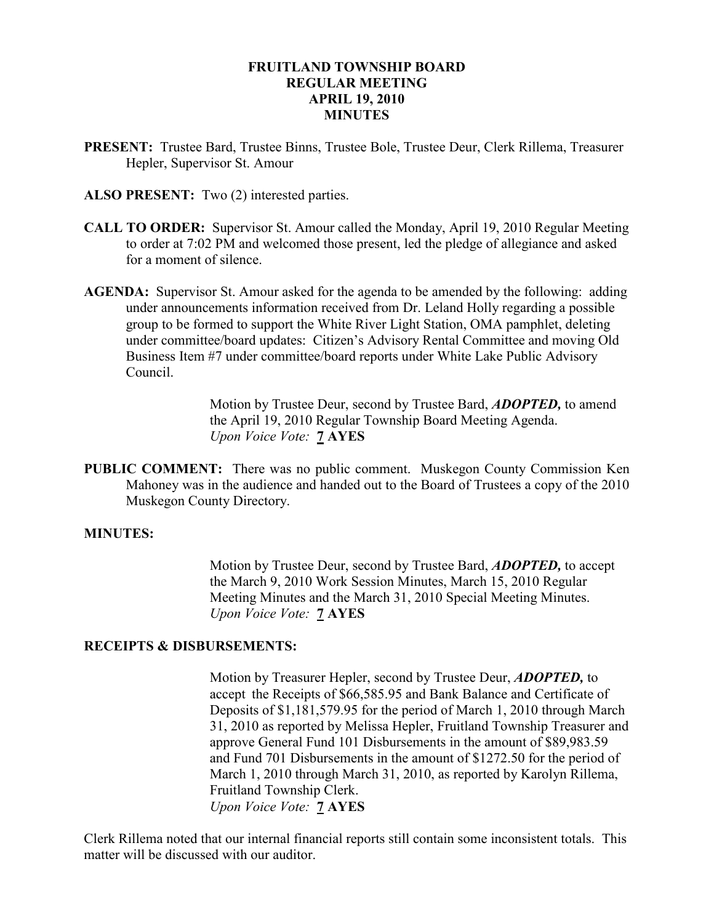#### FRUITLAND TOWNSHIP BOARD REGULAR MEETING APRIL 19, 2010 **MINUTES**

- PRESENT: Trustee Bard, Trustee Binns, Trustee Bole, Trustee Deur, Clerk Rillema, Treasurer Hepler, Supervisor St. Amour
- ALSO PRESENT: Two (2) interested parties.
- CALL TO ORDER: Supervisor St. Amour called the Monday, April 19, 2010 Regular Meeting to order at 7:02 PM and welcomed those present, led the pledge of allegiance and asked for a moment of silence.
- AGENDA: Supervisor St. Amour asked for the agenda to be amended by the following: adding under announcements information received from Dr. Leland Holly regarding a possible group to be formed to support the White River Light Station, OMA pamphlet, deleting under committee/board updates: Citizen's Advisory Rental Committee and moving Old Business Item #7 under committee/board reports under White Lake Public Advisory Council.

Motion by Trustee Deur, second by Trustee Bard, **ADOPTED**, to amend the April 19, 2010 Regular Township Board Meeting Agenda. Upon Voice Vote: 7 AYES

PUBLIC COMMENT: There was no public comment. Muskegon County Commission Ken Mahoney was in the audience and handed out to the Board of Trustees a copy of the 2010 Muskegon County Directory.

#### MINUTES:

Motion by Trustee Deur, second by Trustee Bard, **ADOPTED**, to accept the March 9, 2010 Work Session Minutes, March 15, 2010 Regular Meeting Minutes and the March 31, 2010 Special Meeting Minutes. Upon Voice Vote: 7 AYES

#### RECEIPTS & DISBURSEMENTS:

Motion by Treasurer Hepler, second by Trustee Deur, **ADOPTED**, to accept the Receipts of \$66,585.95 and Bank Balance and Certificate of Deposits of \$1,181,579.95 for the period of March 1, 2010 through March 31, 2010 as reported by Melissa Hepler, Fruitland Township Treasurer and approve General Fund 101 Disbursements in the amount of \$89,983.59 and Fund 701 Disbursements in the amount of \$1272.50 for the period of March 1, 2010 through March 31, 2010, as reported by Karolyn Rillema, Fruitland Township Clerk. Upon Voice Vote: **7 AYES** 

Clerk Rillema noted that our internal financial reports still contain some inconsistent totals. This matter will be discussed with our auditor.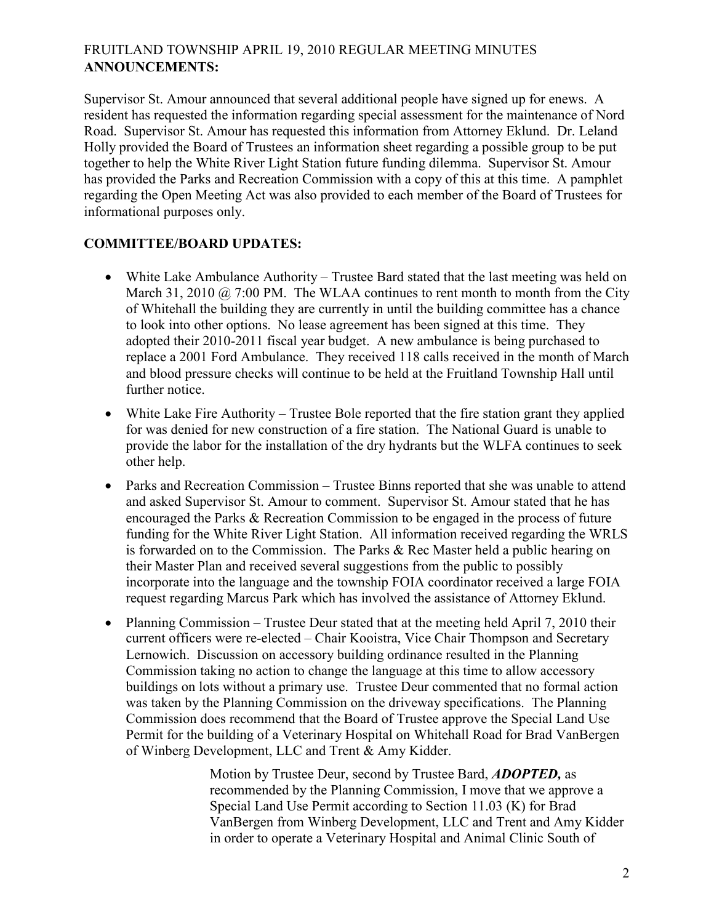# FRUITLAND TOWNSHIP APRIL 19, 2010 REGULAR MEETING MINUTES ANNOUNCEMENTS:

Supervisor St. Amour announced that several additional people have signed up for enews. A resident has requested the information regarding special assessment for the maintenance of Nord Road. Supervisor St. Amour has requested this information from Attorney Eklund. Dr. Leland Holly provided the Board of Trustees an information sheet regarding a possible group to be put together to help the White River Light Station future funding dilemma. Supervisor St. Amour has provided the Parks and Recreation Commission with a copy of this at this time. A pamphlet regarding the Open Meeting Act was also provided to each member of the Board of Trustees for informational purposes only.

# COMMITTEE/BOARD UPDATES:

- White Lake Ambulance Authority Trustee Bard stated that the last meeting was held on March 31, 2010  $\omega$  7:00 PM. The WLAA continues to rent month to month from the City of Whitehall the building they are currently in until the building committee has a chance to look into other options. No lease agreement has been signed at this time. They adopted their 2010-2011 fiscal year budget. A new ambulance is being purchased to replace a 2001 Ford Ambulance. They received 118 calls received in the month of March and blood pressure checks will continue to be held at the Fruitland Township Hall until further notice.
- White Lake Fire Authority Trustee Bole reported that the fire station grant they applied for was denied for new construction of a fire station. The National Guard is unable to provide the labor for the installation of the dry hydrants but the WLFA continues to seek other help.
- Parks and Recreation Commission Trustee Binns reported that she was unable to attend and asked Supervisor St. Amour to comment. Supervisor St. Amour stated that he has encouraged the Parks & Recreation Commission to be engaged in the process of future funding for the White River Light Station. All information received regarding the WRLS is forwarded on to the Commission. The Parks & Rec Master held a public hearing on their Master Plan and received several suggestions from the public to possibly incorporate into the language and the township FOIA coordinator received a large FOIA request regarding Marcus Park which has involved the assistance of Attorney Eklund.
- Planning Commission Trustee Deur stated that at the meeting held April 7, 2010 their current officers were re-elected – Chair Kooistra, Vice Chair Thompson and Secretary Lernowich. Discussion on accessory building ordinance resulted in the Planning Commission taking no action to change the language at this time to allow accessory buildings on lots without a primary use. Trustee Deur commented that no formal action was taken by the Planning Commission on the driveway specifications. The Planning Commission does recommend that the Board of Trustee approve the Special Land Use Permit for the building of a Veterinary Hospital on Whitehall Road for Brad VanBergen of Winberg Development, LLC and Trent & Amy Kidder.

 Motion by Trustee Deur, second by Trustee Bard, ADOPTED, as recommended by the Planning Commission, I move that we approve a Special Land Use Permit according to Section 11.03 (K) for Brad VanBergen from Winberg Development, LLC and Trent and Amy Kidder in order to operate a Veterinary Hospital and Animal Clinic South of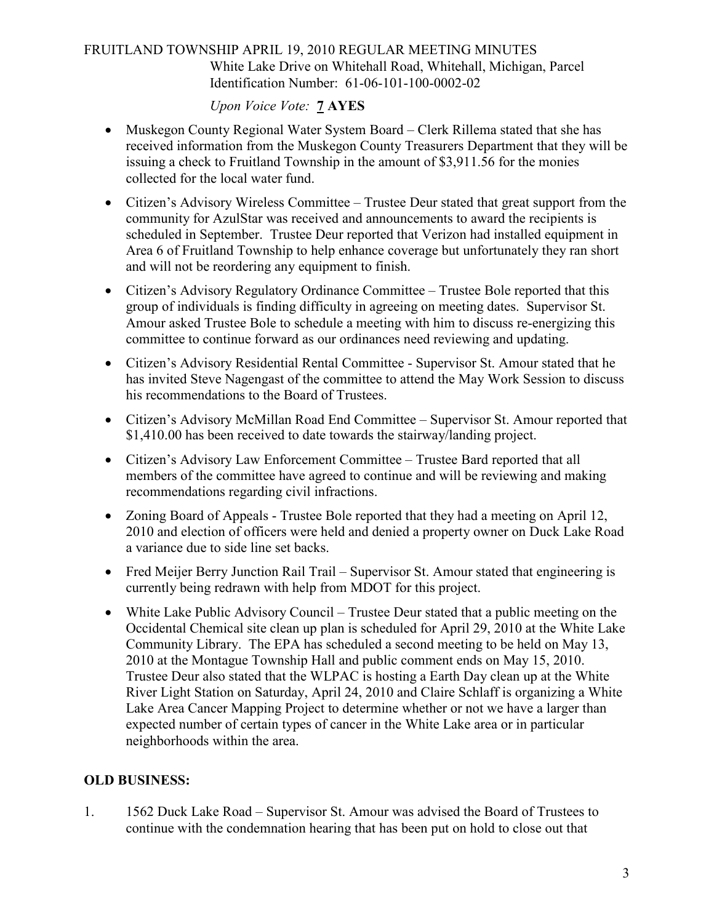# FRUITLAND TOWNSHIP APRIL 19, 2010 REGULAR MEETING MINUTES White Lake Drive on Whitehall Road, Whitehall, Michigan, Parcel Identification Number: 61-06-101-100-0002-02

# Upon Voice Vote: 7 AYES

- Muskegon County Regional Water System Board Clerk Rillema stated that she has received information from the Muskegon County Treasurers Department that they will be issuing a check to Fruitland Township in the amount of \$3,911.56 for the monies collected for the local water fund.
- Citizen's Advisory Wireless Committee Trustee Deur stated that great support from the community for AzulStar was received and announcements to award the recipients is scheduled in September. Trustee Deur reported that Verizon had installed equipment in Area 6 of Fruitland Township to help enhance coverage but unfortunately they ran short and will not be reordering any equipment to finish.
- Citizen's Advisory Regulatory Ordinance Committee Trustee Bole reported that this group of individuals is finding difficulty in agreeing on meeting dates. Supervisor St. Amour asked Trustee Bole to schedule a meeting with him to discuss re-energizing this committee to continue forward as our ordinances need reviewing and updating.
- Citizen's Advisory Residential Rental Committee Supervisor St. Amour stated that he has invited Steve Nagengast of the committee to attend the May Work Session to discuss his recommendations to the Board of Trustees.
- Citizen's Advisory McMillan Road End Committee Supervisor St. Amour reported that \$1,410.00 has been received to date towards the stairway/landing project.
- Citizen's Advisory Law Enforcement Committee Trustee Bard reported that all members of the committee have agreed to continue and will be reviewing and making recommendations regarding civil infractions.
- Zoning Board of Appeals Trustee Bole reported that they had a meeting on April 12, 2010 and election of officers were held and denied a property owner on Duck Lake Road a variance due to side line set backs.
- Fred Meijer Berry Junction Rail Trail Supervisor St. Amour stated that engineering is currently being redrawn with help from MDOT for this project.
- White Lake Public Advisory Council Trustee Deur stated that a public meeting on the Occidental Chemical site clean up plan is scheduled for April 29, 2010 at the White Lake Community Library. The EPA has scheduled a second meeting to be held on May 13, 2010 at the Montague Township Hall and public comment ends on May 15, 2010. Trustee Deur also stated that the WLPAC is hosting a Earth Day clean up at the White River Light Station on Saturday, April 24, 2010 and Claire Schlaff is organizing a White Lake Area Cancer Mapping Project to determine whether or not we have a larger than expected number of certain types of cancer in the White Lake area or in particular neighborhoods within the area.

## OLD BUSINESS:

1. 1562 Duck Lake Road – Supervisor St. Amour was advised the Board of Trustees to continue with the condemnation hearing that has been put on hold to close out that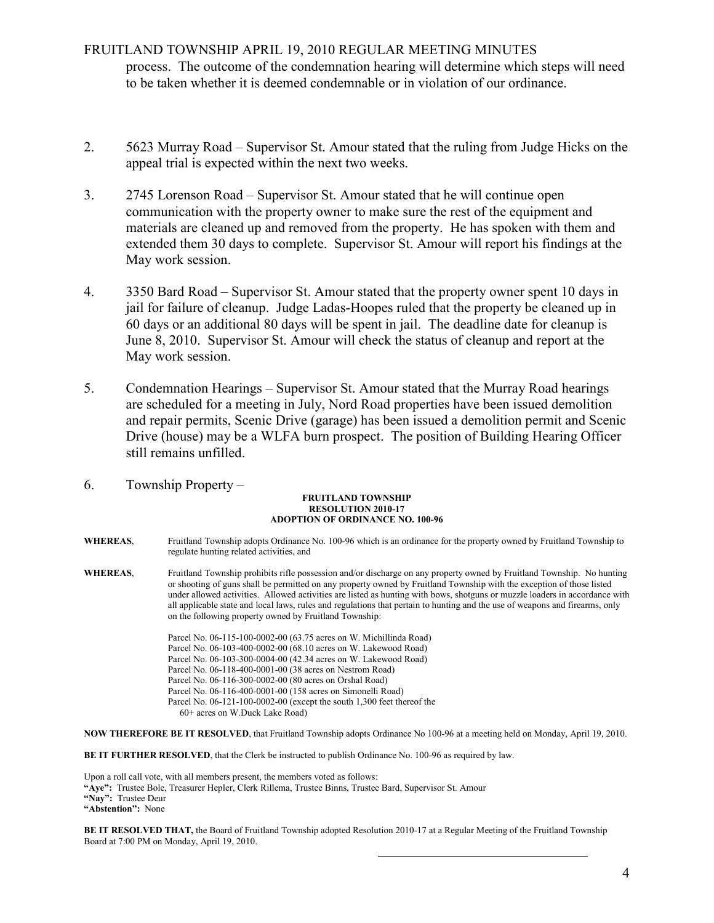# FRUITLAND TOWNSHIP APRIL 19, 2010 REGULAR MEETING MINUTES process. The outcome of the condemnation hearing will determine which steps will need to be taken whether it is deemed condemnable or in violation of our ordinance.

- 2. 5623 Murray Road Supervisor St. Amour stated that the ruling from Judge Hicks on the appeal trial is expected within the next two weeks.
- 3. 2745 Lorenson Road Supervisor St. Amour stated that he will continue open communication with the property owner to make sure the rest of the equipment and materials are cleaned up and removed from the property. He has spoken with them and extended them 30 days to complete. Supervisor St. Amour will report his findings at the May work session.
- 4. 3350 Bard Road Supervisor St. Amour stated that the property owner spent 10 days in jail for failure of cleanup. Judge Ladas-Hoopes ruled that the property be cleaned up in 60 days or an additional 80 days will be spent in jail. The deadline date for cleanup is June 8, 2010. Supervisor St. Amour will check the status of cleanup and report at the May work session.
- 5. Condemnation Hearings Supervisor St. Amour stated that the Murray Road hearings are scheduled for a meeting in July, Nord Road properties have been issued demolition and repair permits, Scenic Drive (garage) has been issued a demolition permit and Scenic Drive (house) may be a WLFA burn prospect. The position of Building Hearing Officer still remains unfilled.
- 6. Township Property –

#### FRUITLAND TOWNSHIP RESOLUTION 2010-17 ADOPTION OF ORDINANCE NO. 100-96

- WHEREAS, Fruitland Township adopts Ordinance No. 100-96 which is an ordinance for the property owned by Fruitland Township to regulate hunting related activities, and
- WHEREAS, Fruitland Township prohibits rifle possession and/or discharge on any property owned by Fruitland Township. No hunting or shooting of guns shall be permitted on any property owned by Fruitland Township with the exception of those listed under allowed activities. Allowed activities are listed as hunting with bows, shotguns or muzzle loaders in accordance with all applicable state and local laws, rules and regulations that pertain to hunting and the use of weapons and firearms, only on the following property owned by Fruitland Township:

 Parcel No. 06-115-100-0002-00 (63.75 acres on W. Michillinda Road) Parcel No. 06-103-400-0002-00 (68.10 acres on W. Lakewood Road) Parcel No. 06-103-300-0004-00 (42.34 acres on W. Lakewood Road) Parcel No. 06-118-400-0001-00 (38 acres on Nestrom Road) Parcel No. 06-116-300-0002-00 (80 acres on Orshal Road) Parcel No. 06-116-400-0001-00 (158 acres on Simonelli Road) Parcel No. 06-121-100-0002-00 (except the south 1,300 feet thereof the 60+ acres on W.Duck Lake Road)

NOW THEREFORE BE IT RESOLVED, that Fruitland Township adopts Ordinance No 100-96 at a meeting held on Monday, April 19, 2010.

BE IT FURTHER RESOLVED, that the Clerk be instructed to publish Ordinance No. 100-96 as required by law.

Upon a roll call vote, with all members present, the members voted as follows: "Aye": Trustee Bole, Treasurer Hepler, Clerk Rillema, Trustee Binns, Trustee Bard, Supervisor St. Amour "Nav": Trustee Deur "Abstention": None

BE IT RESOLVED THAT, the Board of Fruitland Township adopted Resolution 2010-17 at a Regular Meeting of the Fruitland Township Board at 7:00 PM on Monday, April 19, 2010.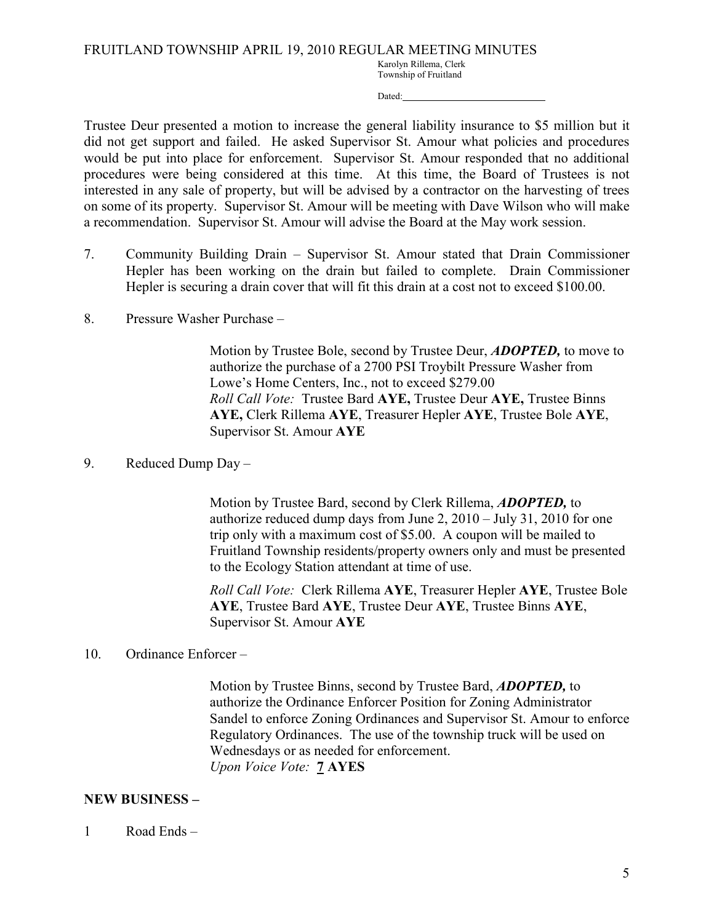Karolyn Rillema, Clerk Township of Fruitland

Dated:

Trustee Deur presented a motion to increase the general liability insurance to \$5 million but it did not get support and failed. He asked Supervisor St. Amour what policies and procedures would be put into place for enforcement. Supervisor St. Amour responded that no additional procedures were being considered at this time. At this time, the Board of Trustees is not interested in any sale of property, but will be advised by a contractor on the harvesting of trees on some of its property. Supervisor St. Amour will be meeting with Dave Wilson who will make a recommendation. Supervisor St. Amour will advise the Board at the May work session.

- 7. Community Building Drain Supervisor St. Amour stated that Drain Commissioner Hepler has been working on the drain but failed to complete. Drain Commissioner Hepler is securing a drain cover that will fit this drain at a cost not to exceed \$100.00.
- 8. Pressure Washer Purchase –

Motion by Trustee Bole, second by Trustee Deur, **ADOPTED**, to move to authorize the purchase of a 2700 PSI Troybilt Pressure Washer from Lowe's Home Centers, Inc., not to exceed \$279.00 Roll Call Vote: Trustee Bard AYE, Trustee Deur AYE, Trustee Binns AYE, Clerk Rillema AYE, Treasurer Hepler AYE, Trustee Bole AYE, Supervisor St. Amour AYE

9. Reduced Dump Day –

 Motion by Trustee Bard, second by Clerk Rillema, ADOPTED, to authorize reduced dump days from June 2, 2010 – July 31, 2010 for one trip only with a maximum cost of \$5.00. A coupon will be mailed to Fruitland Township residents/property owners only and must be presented to the Ecology Station attendant at time of use.

 Roll Call Vote: Clerk Rillema AYE, Treasurer Hepler AYE, Trustee Bole AYE, Trustee Bard AYE, Trustee Deur AYE, Trustee Binns AYE, Supervisor St. Amour AYE

## 10. Ordinance Enforcer –

 Motion by Trustee Binns, second by Trustee Bard, ADOPTED, to authorize the Ordinance Enforcer Position for Zoning Administrator Sandel to enforce Zoning Ordinances and Supervisor St. Amour to enforce Regulatory Ordinances. The use of the township truck will be used on Wednesdays or as needed for enforcement. Upon Voice Vote: 7 AYES

## NEW BUSINESS –

1 Road Ends –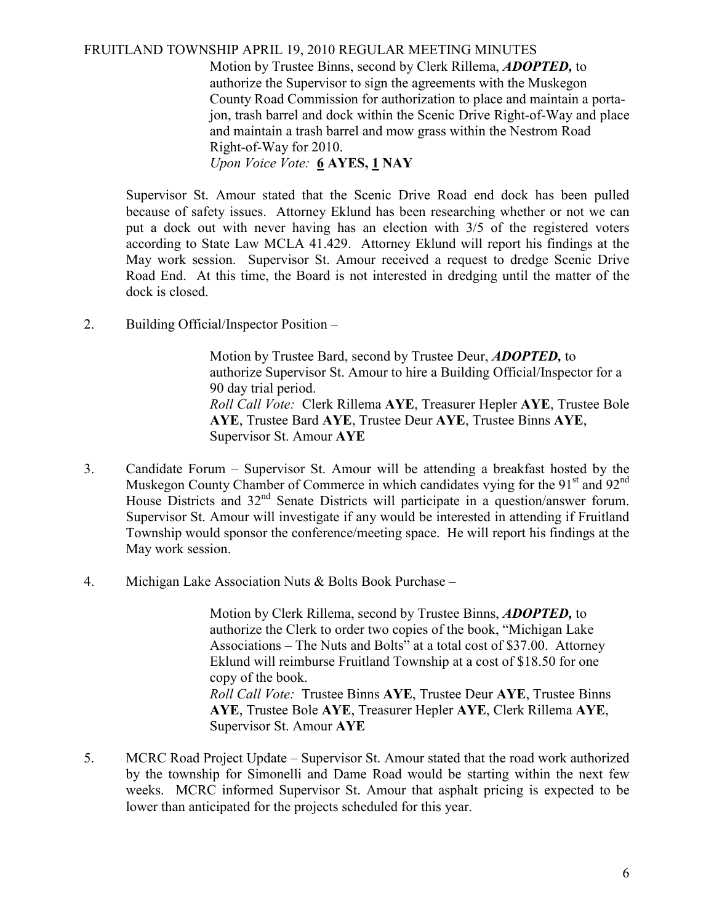#### FRUITLAND TOWNSHIP APRIL 19, 2010 REGULAR MEETING MINUTES

 Motion by Trustee Binns, second by Clerk Rillema, ADOPTED, to authorize the Supervisor to sign the agreements with the Muskegon County Road Commission for authorization to place and maintain a porta jon, trash barrel and dock within the Scenic Drive Right-of-Way and place and maintain a trash barrel and mow grass within the Nestrom Road Right-of-Way for 2010. Upon Voice Vote: 6 AYES, 1 NAY

 Supervisor St. Amour stated that the Scenic Drive Road end dock has been pulled because of safety issues. Attorney Eklund has been researching whether or not we can put a dock out with never having has an election with 3/5 of the registered voters according to State Law MCLA 41.429. Attorney Eklund will report his findings at the May work session. Supervisor St. Amour received a request to dredge Scenic Drive Road End. At this time, the Board is not interested in dredging until the matter of the dock is closed.

2. Building Official/Inspector Position –

 Motion by Trustee Bard, second by Trustee Deur, ADOPTED, to authorize Supervisor St. Amour to hire a Building Official/Inspector for a 90 day trial period. Roll Call Vote: Clerk Rillema AYE, Treasurer Hepler AYE, Trustee Bole AYE, Trustee Bard AYE, Trustee Deur AYE, Trustee Binns AYE, Supervisor St. Amour AYE

- 3. Candidate Forum Supervisor St. Amour will be attending a breakfast hosted by the Muskegon County Chamber of Commerce in which candidates vying for the  $91<sup>st</sup>$  and  $92<sup>nd</sup>$ House Districts and  $32<sup>nd</sup>$  Senate Districts will participate in a question/answer forum. Supervisor St. Amour will investigate if any would be interested in attending if Fruitland Township would sponsor the conference/meeting space. He will report his findings at the May work session.
- 4. Michigan Lake Association Nuts & Bolts Book Purchase –

Motion by Clerk Rillema, second by Trustee Binns, **ADOPTED**, to authorize the Clerk to order two copies of the book, "Michigan Lake Associations – The Nuts and Bolts" at a total cost of \$37.00. Attorney Eklund will reimburse Fruitland Township at a cost of \$18.50 for one copy of the book. Roll Call Vote: Trustee Binns AYE, Trustee Deur AYE, Trustee Binns AYE, Trustee Bole AYE, Treasurer Hepler AYE, Clerk Rillema AYE, Supervisor St. Amour AYE

5. MCRC Road Project Update – Supervisor St. Amour stated that the road work authorized by the township for Simonelli and Dame Road would be starting within the next few weeks. MCRC informed Supervisor St. Amour that asphalt pricing is expected to be lower than anticipated for the projects scheduled for this year.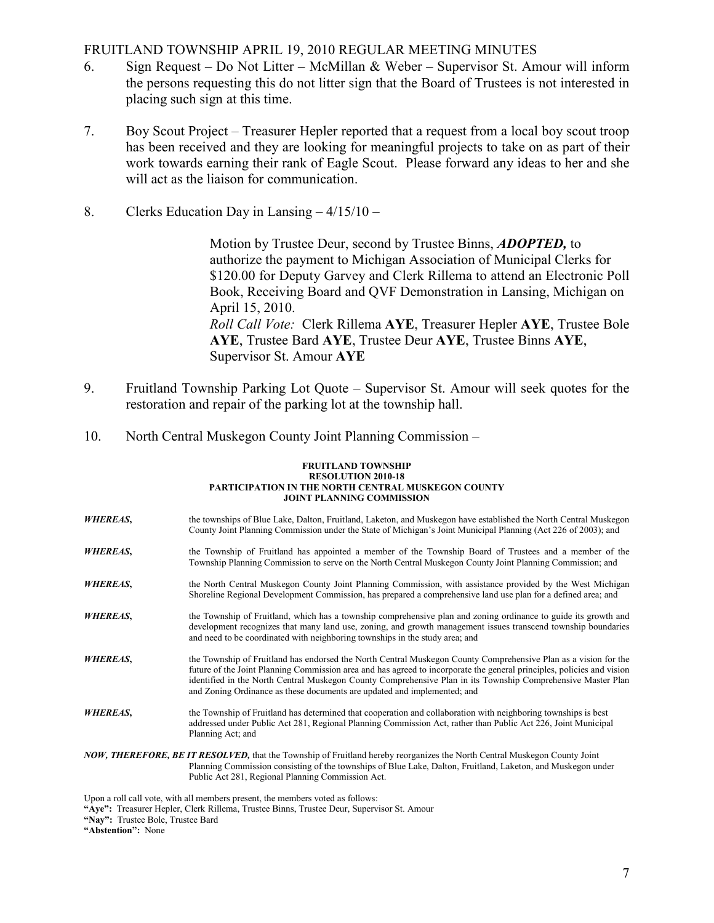#### FRUITLAND TOWNSHIP APRIL 19, 2010 REGULAR MEETING MINUTES

- 6. Sign Request Do Not Litter McMillan & Weber Supervisor St. Amour will inform the persons requesting this do not litter sign that the Board of Trustees is not interested in placing such sign at this time.
- 7. Boy Scout Project Treasurer Hepler reported that a request from a local boy scout troop has been received and they are looking for meaningful projects to take on as part of their work towards earning their rank of Eagle Scout. Please forward any ideas to her and she will act as the liaison for communication.
- 8. Clerks Education Day in Lansing 4/15/10 –

 Motion by Trustee Deur, second by Trustee Binns, ADOPTED, to authorize the payment to Michigan Association of Municipal Clerks for \$120.00 for Deputy Garvey and Clerk Rillema to attend an Electronic Poll Book, Receiving Board and QVF Demonstration in Lansing, Michigan on April 15, 2010. Roll Call Vote: Clerk Rillema AYE, Treasurer Hepler AYE, Trustee Bole AYE, Trustee Bard AYE, Trustee Deur AYE, Trustee Binns AYE, Supervisor St. Amour AYE

- 9. Fruitland Township Parking Lot Quote Supervisor St. Amour will seek quotes for the restoration and repair of the parking lot at the township hall.
- 10. North Central Muskegon County Joint Planning Commission –

#### FRUITLAND TOWNSHIP RESOLUTION 2010-18 PARTICIPATION IN THE NORTH CENTRAL MUSKEGON COUNTY JOINT PLANNING COMMISSION

- WHEREAS, the townships of Blue Lake, Dalton, Fruitland, Laketon, and Muskegon have established the North Central Muskegon County Joint Planning Commission under the State of Michigan's Joint Municipal Planning (Act 226 of 2003); and
- WHEREAS, the Township of Fruitland has appointed a member of the Township Board of Trustees and a member of the Township Planning Commission to serve on the North Central Muskegon County Joint Planning Commission; and
- WHEREAS, the North Central Muskegon County Joint Planning Commission, with assistance provided by the West Michigan Shoreline Regional Development Commission, has prepared a comprehensive land use plan for a defined area; and
- WHEREAS, the Township of Fruitland, which has a township comprehensive plan and zoning ordinance to guide its growth and development recognizes that many land use, zoning, and growth management issues transcend township boundaries and need to be coordinated with neighboring townships in the study area; and
- WHEREAS, the Township of Fruitland has endorsed the North Central Muskegon County Comprehensive Plan as a vision for the future of the Joint Planning Commission area and has agreed to incorporate the general principles, policies and vision identified in the North Central Muskegon County Comprehensive Plan in its Township Comprehensive Master Plan and Zoning Ordinance as these documents are updated and implemented; and
- WHEREAS, the Township of Fruitland has determined that cooperation and collaboration with neighboring townships is best addressed under Public Act 281, Regional Planning Commission Act, rather than Public Act 226, Joint Municipal Planning Act; and

NOW, THEREFORE, BE IT RESOLVED, that the Township of Fruitland hereby reorganizes the North Central Muskegon County Joint Planning Commission consisting of the townships of Blue Lake, Dalton, Fruitland, Laketon, and Muskegon under Public Act 281, Regional Planning Commission Act.

Upon a roll call vote, with all members present, the members voted as follows:

<sup>&</sup>quot;Aye": Treasurer Hepler, Clerk Rillema, Trustee Binns, Trustee Deur, Supervisor St. Amour

<sup>&</sup>quot;Nay": Trustee Bole, Trustee Bard

<sup>&</sup>quot;Abstention": None